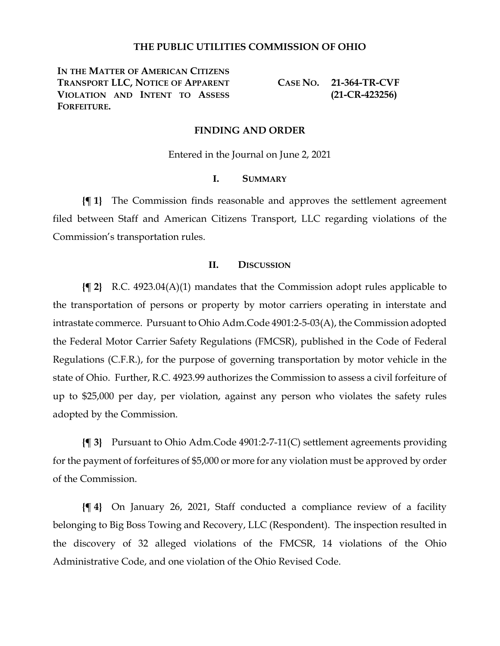# **THE PUBLIC UTILITIES COMMISSION OF OHIO**

**IN THE MATTER OF AMERICAN CITIZENS TRANSPORT LLC, NOTICE OF APPARENT VIOLATION AND INTENT TO ASSESS FORFEITURE.**

**CASE NO. 21-364-TR-CVF (21-CR-423256)**

### **FINDING AND ORDER**

Entered in the Journal on June 2, 2021

#### **I. SUMMARY**

**{¶ 1}** The Commission finds reasonable and approves the settlement agreement filed between Staff and American Citizens Transport, LLC regarding violations of the Commission's transportation rules.

# **II. DISCUSSION**

**{¶ 2}** R.C. 4923.04(A)(1) mandates that the Commission adopt rules applicable to the transportation of persons or property by motor carriers operating in interstate and intrastate commerce. Pursuant to Ohio Adm.Code 4901:2-5-03(A), the Commission adopted the Federal Motor Carrier Safety Regulations (FMCSR), published in the Code of Federal Regulations (C.F.R.), for the purpose of governing transportation by motor vehicle in the state of Ohio. Further, R.C. 4923.99 authorizes the Commission to assess a civil forfeiture of up to \$25,000 per day, per violation, against any person who violates the safety rules adopted by the Commission.

**{¶ 3}** Pursuant to Ohio Adm.Code 4901:2-7-11(C) settlement agreements providing for the payment of forfeitures of \$5,000 or more for any violation must be approved by order of the Commission.

**{¶ 4}** On January 26, 2021, Staff conducted a compliance review of a facility belonging to Big Boss Towing and Recovery, LLC (Respondent). The inspection resulted in the discovery of 32 alleged violations of the FMCSR, 14 violations of the Ohio Administrative Code, and one violation of the Ohio Revised Code.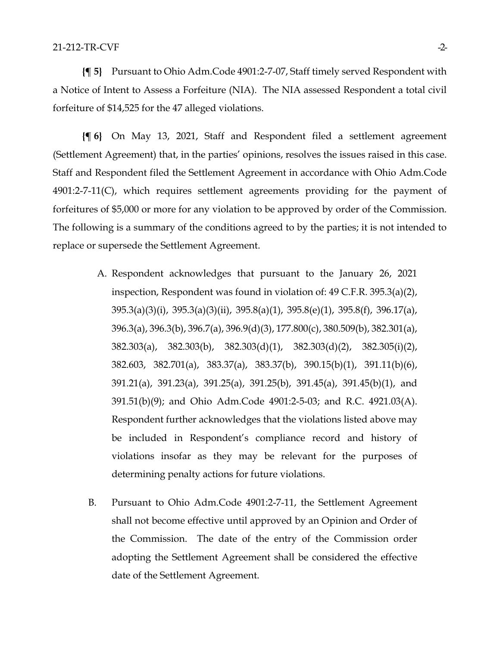**{¶ 5}** Pursuant to Ohio Adm.Code 4901:2-7-07, Staff timely served Respondent with a Notice of Intent to Assess a Forfeiture (NIA). The NIA assessed Respondent a total civil forfeiture of \$14,525 for the 47 alleged violations.

**{¶ 6}** On May 13, 2021, Staff and Respondent filed a settlement agreement (Settlement Agreement) that, in the parties' opinions, resolves the issues raised in this case. Staff and Respondent filed the Settlement Agreement in accordance with Ohio Adm.Code 4901:2-7-11(C), which requires settlement agreements providing for the payment of forfeitures of \$5,000 or more for any violation to be approved by order of the Commission. The following is a summary of the conditions agreed to by the parties; it is not intended to replace or supersede the Settlement Agreement.

- A. Respondent acknowledges that pursuant to the January 26, 2021 inspection, Respondent was found in violation of: 49 C.F.R. 395.3(a)(2), 395.3(a)(3)(i), 395.3(a)(3)(ii), 395.8(a)(1), 395.8(e)(1), 395.8(f), 396.17(a), 396.3(a), 396.3(b), 396.7(a), 396.9(d)(3), 177.800(c), 380.509(b), 382.301(a), 382.303(a), 382.303(b), 382.303(d)(1), 382.303(d)(2), 382.305(i)(2), 382.603, 382.701(a), 383.37(a), 383.37(b), 390.15(b)(1), 391.11(b)(6), 391.21(a), 391.23(a), 391.25(a), 391.25(b), 391.45(a), 391.45(b)(1), and 391.51(b)(9); and Ohio Adm.Code 4901:2-5-03; and R.C. 4921.03(A). Respondent further acknowledges that the violations listed above may be included in Respondent's compliance record and history of violations insofar as they may be relevant for the purposes of determining penalty actions for future violations.
- B. Pursuant to Ohio Adm.Code 4901:2-7-11, the Settlement Agreement shall not become effective until approved by an Opinion and Order of the Commission. The date of the entry of the Commission order adopting the Settlement Agreement shall be considered the effective date of the Settlement Agreement.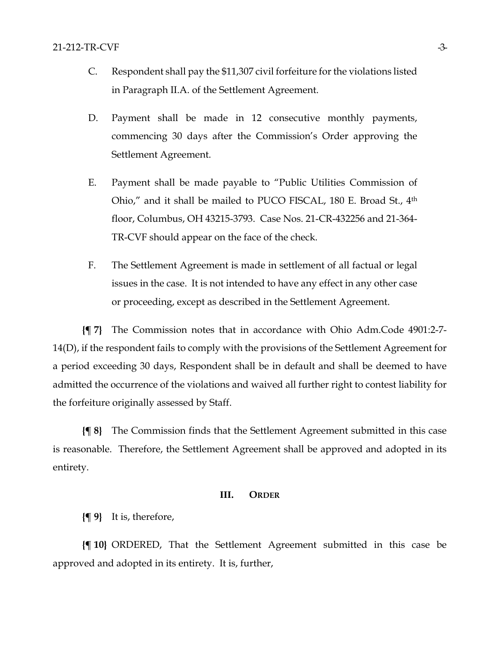- C. Respondent shall pay the \$11,307 civil forfeiture for the violations listed in Paragraph II.A. of the Settlement Agreement.
- D. Payment shall be made in 12 consecutive monthly payments, commencing 30 days after the Commission's Order approving the Settlement Agreement.
- E. Payment shall be made payable to "Public Utilities Commission of Ohio," and it shall be mailed to PUCO FISCAL, 180 E. Broad St., 4<sup>th</sup> floor, Columbus, OH 43215-3793. Case Nos. 21-CR-432256 and 21-364- TR-CVF should appear on the face of the check.
- F. The Settlement Agreement is made in settlement of all factual or legal issues in the case. It is not intended to have any effect in any other case or proceeding, except as described in the Settlement Agreement.

**{¶ 7}** The Commission notes that in accordance with Ohio Adm.Code 4901:2-7- 14(D), if the respondent fails to comply with the provisions of the Settlement Agreement for a period exceeding 30 days, Respondent shall be in default and shall be deemed to have admitted the occurrence of the violations and waived all further right to contest liability for the forfeiture originally assessed by Staff.

**{¶ 8}** The Commission finds that the Settlement Agreement submitted in this case is reasonable. Therefore, the Settlement Agreement shall be approved and adopted in its entirety.

# **III. ORDER**

**{¶ 9}** It is, therefore,

**{¶ 10}** ORDERED, That the Settlement Agreement submitted in this case be approved and adopted in its entirety. It is, further,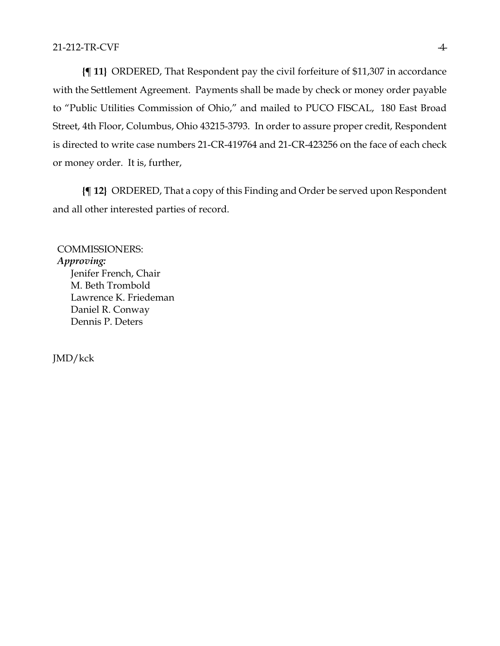**{¶ 11}** ORDERED, That Respondent pay the civil forfeiture of \$11,307 in accordance with the Settlement Agreement. Payments shall be made by check or money order payable to "Public Utilities Commission of Ohio," and mailed to PUCO FISCAL, 180 East Broad Street, 4th Floor, Columbus, Ohio 43215-3793. In order to assure proper credit, Respondent is directed to write case numbers 21-CR-419764 and 21-CR-423256 on the face of each check or money order. It is, further,

**{¶ 12}** ORDERED, That a copy of this Finding and Order be served upon Respondent and all other interested parties of record.

COMMISSIONERS: *Approving:*  Jenifer French, Chair M. Beth Trombold Lawrence K. Friedeman Daniel R. Conway Dennis P. Deters

JMD/kck